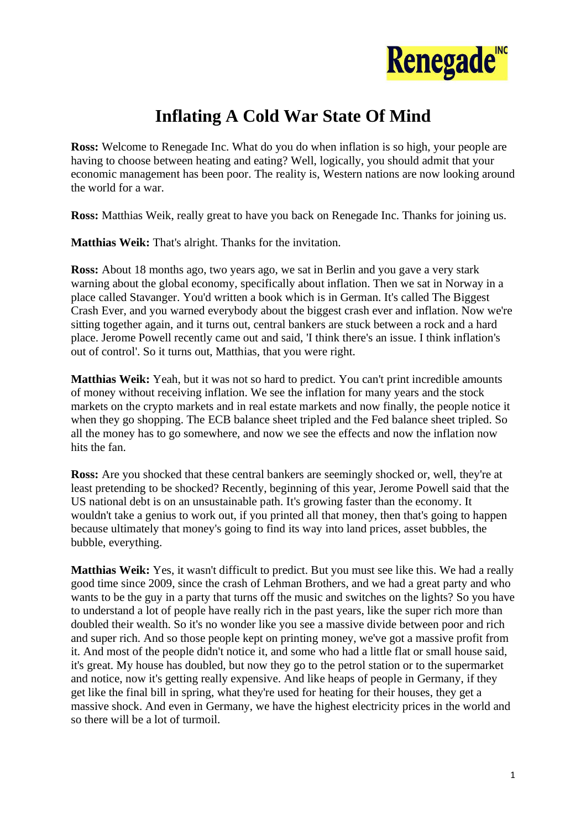

## **Inflating A Cold War State Of Mind**

**Ross:** Welcome to Renegade Inc. What do you do when inflation is so high, your people are having to choose between heating and eating? Well, logically, you should admit that your economic management has been poor. The reality is, Western nations are now looking around the world for a war.

**Ross:** Matthias Weik, really great to have you back on Renegade Inc. Thanks for joining us.

**Matthias Weik:** That's alright. Thanks for the invitation.

**Ross:** About 18 months ago, two years ago, we sat in Berlin and you gave a very stark warning about the global economy, specifically about inflation. Then we sat in Norway in a place called Stavanger. You'd written a book which is in German. It's called The Biggest Crash Ever, and you warned everybody about the biggest crash ever and inflation. Now we're sitting together again, and it turns out, central bankers are stuck between a rock and a hard place. Jerome Powell recently came out and said, 'I think there's an issue. I think inflation's out of control'. So it turns out, Matthias, that you were right.

**Matthias Weik:** Yeah, but it was not so hard to predict. You can't print incredible amounts of money without receiving inflation. We see the inflation for many years and the stock markets on the crypto markets and in real estate markets and now finally, the people notice it when they go shopping. The ECB balance sheet tripled and the Fed balance sheet tripled. So all the money has to go somewhere, and now we see the effects and now the inflation now hits the fan.

**Ross:** Are you shocked that these central bankers are seemingly shocked or, well, they're at least pretending to be shocked? Recently, beginning of this year, Jerome Powell said that the US national debt is on an unsustainable path. It's growing faster than the economy. It wouldn't take a genius to work out, if you printed all that money, then that's going to happen because ultimately that money's going to find its way into land prices, asset bubbles, the bubble, everything.

**Matthias Weik:** Yes, it wasn't difficult to predict. But you must see like this. We had a really good time since 2009, since the crash of Lehman Brothers, and we had a great party and who wants to be the guy in a party that turns off the music and switches on the lights? So you have to understand a lot of people have really rich in the past years, like the super rich more than doubled their wealth. So it's no wonder like you see a massive divide between poor and rich and super rich. And so those people kept on printing money, we've got a massive profit from it. And most of the people didn't notice it, and some who had a little flat or small house said, it's great. My house has doubled, but now they go to the petrol station or to the supermarket and notice, now it's getting really expensive. And like heaps of people in Germany, if they get like the final bill in spring, what they're used for heating for their houses, they get a massive shock. And even in Germany, we have the highest electricity prices in the world and so there will be a lot of turmoil.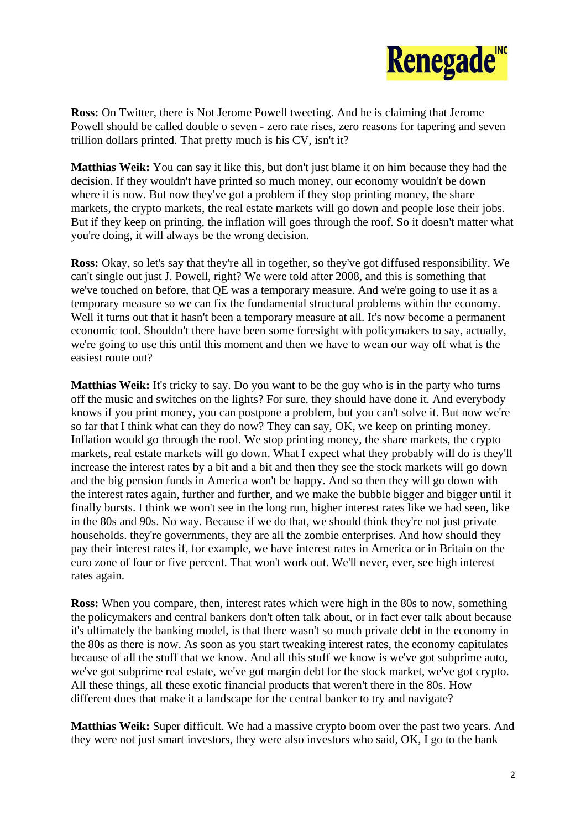

**Ross:** On Twitter, there is Not Jerome Powell tweeting. And he is claiming that Jerome Powell should be called double o seven - zero rate rises, zero reasons for tapering and seven trillion dollars printed. That pretty much is his CV, isn't it?

**Matthias Weik:** You can say it like this, but don't just blame it on him because they had the decision. If they wouldn't have printed so much money, our economy wouldn't be down where it is now. But now they've got a problem if they stop printing money, the share markets, the crypto markets, the real estate markets will go down and people lose their jobs. But if they keep on printing, the inflation will goes through the roof. So it doesn't matter what you're doing, it will always be the wrong decision.

**Ross:** Okay, so let's say that they're all in together, so they've got diffused responsibility. We can't single out just J. Powell, right? We were told after 2008, and this is something that we've touched on before, that QE was a temporary measure. And we're going to use it as a temporary measure so we can fix the fundamental structural problems within the economy. Well it turns out that it hasn't been a temporary measure at all. It's now become a permanent economic tool. Shouldn't there have been some foresight with policymakers to say, actually, we're going to use this until this moment and then we have to wean our way off what is the easiest route out?

**Matthias Weik:** It's tricky to say. Do you want to be the guy who is in the party who turns off the music and switches on the lights? For sure, they should have done it. And everybody knows if you print money, you can postpone a problem, but you can't solve it. But now we're so far that I think what can they do now? They can say, OK, we keep on printing money. Inflation would go through the roof. We stop printing money, the share markets, the crypto markets, real estate markets will go down. What I expect what they probably will do is they'll increase the interest rates by a bit and a bit and then they see the stock markets will go down and the big pension funds in America won't be happy. And so then they will go down with the interest rates again, further and further, and we make the bubble bigger and bigger until it finally bursts. I think we won't see in the long run, higher interest rates like we had seen, like in the 80s and 90s. No way. Because if we do that, we should think they're not just private households. they're governments, they are all the zombie enterprises. And how should they pay their interest rates if, for example, we have interest rates in America or in Britain on the euro zone of four or five percent. That won't work out. We'll never, ever, see high interest rates again.

**Ross:** When you compare, then, interest rates which were high in the 80s to now, something the policymakers and central bankers don't often talk about, or in fact ever talk about because it's ultimately the banking model, is that there wasn't so much private debt in the economy in the 80s as there is now. As soon as you start tweaking interest rates, the economy capitulates because of all the stuff that we know. And all this stuff we know is we've got subprime auto, we've got subprime real estate, we've got margin debt for the stock market, we've got crypto. All these things, all these exotic financial products that weren't there in the 80s. How different does that make it a landscape for the central banker to try and navigate?

**Matthias Weik:** Super difficult. We had a massive crypto boom over the past two years. And they were not just smart investors, they were also investors who said, OK, I go to the bank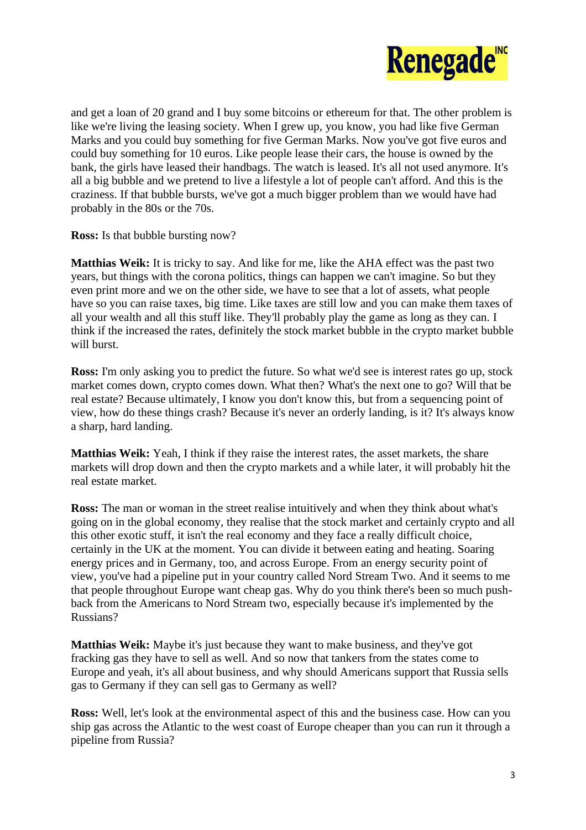

and get a loan of 20 grand and I buy some bitcoins or ethereum for that. The other problem is like we're living the leasing society. When I grew up, you know, you had like five German Marks and you could buy something for five German Marks. Now you've got five euros and could buy something for 10 euros. Like people lease their cars, the house is owned by the bank, the girls have leased their handbags. The watch is leased. It's all not used anymore. It's all a big bubble and we pretend to live a lifestyle a lot of people can't afford. And this is the craziness. If that bubble bursts, we've got a much bigger problem than we would have had probably in the 80s or the 70s.

**Ross:** Is that bubble bursting now?

**Matthias Weik:** It is tricky to say. And like for me, like the AHA effect was the past two years, but things with the corona politics, things can happen we can't imagine. So but they even print more and we on the other side, we have to see that a lot of assets, what people have so you can raise taxes, big time. Like taxes are still low and you can make them taxes of all your wealth and all this stuff like. They'll probably play the game as long as they can. I think if the increased the rates, definitely the stock market bubble in the crypto market bubble will burst.

**Ross:** I'm only asking you to predict the future. So what we'd see is interest rates go up, stock market comes down, crypto comes down. What then? What's the next one to go? Will that be real estate? Because ultimately, I know you don't know this, but from a sequencing point of view, how do these things crash? Because it's never an orderly landing, is it? It's always know a sharp, hard landing.

**Matthias Weik:** Yeah, I think if they raise the interest rates, the asset markets, the share markets will drop down and then the crypto markets and a while later, it will probably hit the real estate market.

**Ross:** The man or woman in the street realise intuitively and when they think about what's going on in the global economy, they realise that the stock market and certainly crypto and all this other exotic stuff, it isn't the real economy and they face a really difficult choice, certainly in the UK at the moment. You can divide it between eating and heating. Soaring energy prices and in Germany, too, and across Europe. From an energy security point of view, you've had a pipeline put in your country called Nord Stream Two. And it seems to me that people throughout Europe want cheap gas. Why do you think there's been so much pushback from the Americans to Nord Stream two, especially because it's implemented by the Russians?

**Matthias Weik:** Maybe it's just because they want to make business, and they've got fracking gas they have to sell as well. And so now that tankers from the states come to Europe and yeah, it's all about business, and why should Americans support that Russia sells gas to Germany if they can sell gas to Germany as well?

**Ross:** Well, let's look at the environmental aspect of this and the business case. How can you ship gas across the Atlantic to the west coast of Europe cheaper than you can run it through a pipeline from Russia?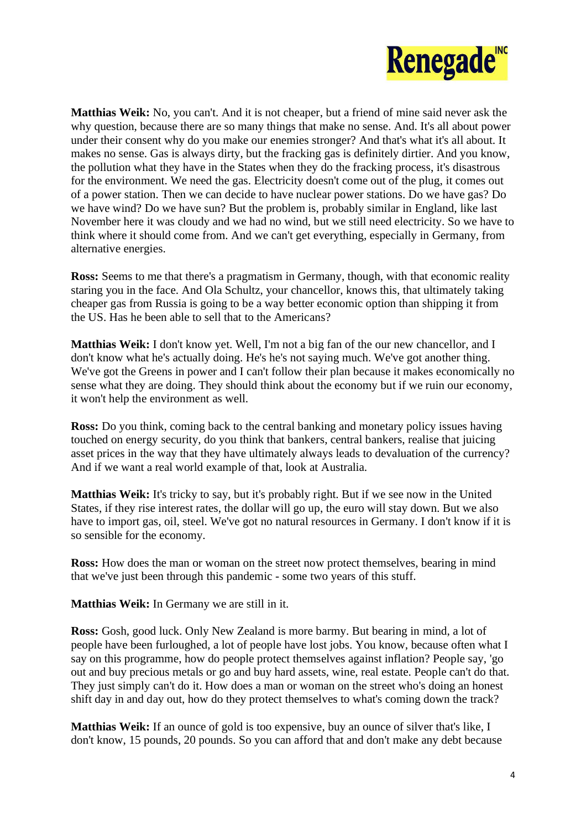

**Matthias Weik:** No, you can't. And it is not cheaper, but a friend of mine said never ask the why question, because there are so many things that make no sense. And. It's all about power under their consent why do you make our enemies stronger? And that's what it's all about. It makes no sense. Gas is always dirty, but the fracking gas is definitely dirtier. And you know, the pollution what they have in the States when they do the fracking process, it's disastrous for the environment. We need the gas. Electricity doesn't come out of the plug, it comes out of a power station. Then we can decide to have nuclear power stations. Do we have gas? Do we have wind? Do we have sun? But the problem is, probably similar in England, like last November here it was cloudy and we had no wind, but we still need electricity. So we have to think where it should come from. And we can't get everything, especially in Germany, from alternative energies.

**Ross:** Seems to me that there's a pragmatism in Germany, though, with that economic reality staring you in the face. And Ola Schultz, your chancellor, knows this, that ultimately taking cheaper gas from Russia is going to be a way better economic option than shipping it from the US. Has he been able to sell that to the Americans?

**Matthias Weik:** I don't know yet. Well, I'm not a big fan of the our new chancellor, and I don't know what he's actually doing. He's he's not saying much. We've got another thing. We've got the Greens in power and I can't follow their plan because it makes economically no sense what they are doing. They should think about the economy but if we ruin our economy, it won't help the environment as well.

**Ross:** Do you think, coming back to the central banking and monetary policy issues having touched on energy security, do you think that bankers, central bankers, realise that juicing asset prices in the way that they have ultimately always leads to devaluation of the currency? And if we want a real world example of that, look at Australia.

**Matthias Weik:** It's tricky to say, but it's probably right. But if we see now in the United States, if they rise interest rates, the dollar will go up, the euro will stay down. But we also have to import gas, oil, steel. We've got no natural resources in Germany. I don't know if it is so sensible for the economy.

**Ross:** How does the man or woman on the street now protect themselves, bearing in mind that we've just been through this pandemic - some two years of this stuff.

**Matthias Weik:** In Germany we are still in it.

**Ross:** Gosh, good luck. Only New Zealand is more barmy. But bearing in mind, a lot of people have been furloughed, a lot of people have lost jobs. You know, because often what I say on this programme, how do people protect themselves against inflation? People say, 'go out and buy precious metals or go and buy hard assets, wine, real estate. People can't do that. They just simply can't do it. How does a man or woman on the street who's doing an honest shift day in and day out, how do they protect themselves to what's coming down the track?

**Matthias Weik:** If an ounce of gold is too expensive, buy an ounce of silver that's like, I don't know, 15 pounds, 20 pounds. So you can afford that and don't make any debt because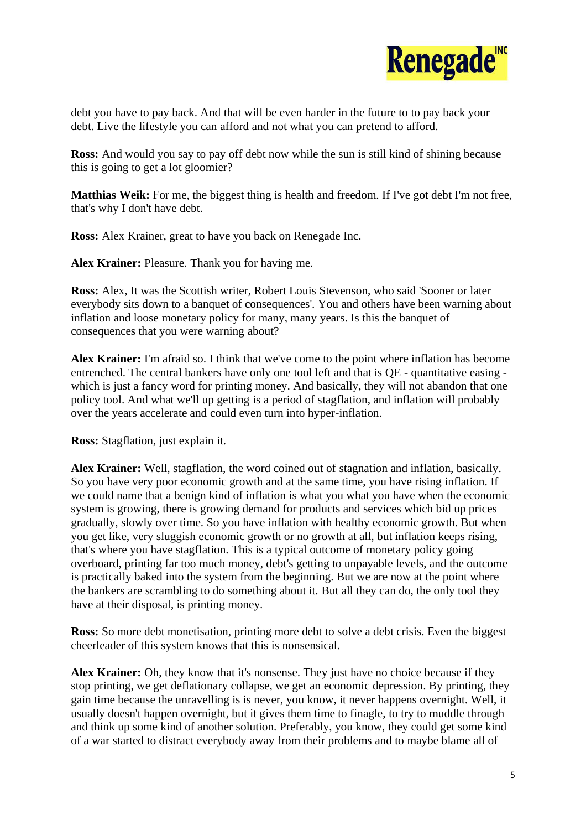

debt you have to pay back. And that will be even harder in the future to to pay back your debt. Live the lifestyle you can afford and not what you can pretend to afford.

**Ross:** And would you say to pay off debt now while the sun is still kind of shining because this is going to get a lot gloomier?

**Matthias Weik:** For me, the biggest thing is health and freedom. If I've got debt I'm not free, that's why I don't have debt.

**Ross:** Alex Krainer, great to have you back on Renegade Inc.

**Alex Krainer:** Pleasure. Thank you for having me.

**Ross:** Alex, It was the Scottish writer, Robert Louis Stevenson, who said 'Sooner or later everybody sits down to a banquet of consequences'. You and others have been warning about inflation and loose monetary policy for many, many years. Is this the banquet of consequences that you were warning about?

**Alex Krainer:** I'm afraid so. I think that we've come to the point where inflation has become entrenched. The central bankers have only one tool left and that is QE - quantitative easing which is just a fancy word for printing money. And basically, they will not abandon that one policy tool. And what we'll up getting is a period of stagflation, and inflation will probably over the years accelerate and could even turn into hyper-inflation.

**Ross:** Stagflation, just explain it.

**Alex Krainer:** Well, stagflation, the word coined out of stagnation and inflation, basically. So you have very poor economic growth and at the same time, you have rising inflation. If we could name that a benign kind of inflation is what you what you have when the economic system is growing, there is growing demand for products and services which bid up prices gradually, slowly over time. So you have inflation with healthy economic growth. But when you get like, very sluggish economic growth or no growth at all, but inflation keeps rising, that's where you have stagflation. This is a typical outcome of monetary policy going overboard, printing far too much money, debt's getting to unpayable levels, and the outcome is practically baked into the system from the beginning. But we are now at the point where the bankers are scrambling to do something about it. But all they can do, the only tool they have at their disposal, is printing money.

**Ross:** So more debt monetisation, printing more debt to solve a debt crisis. Even the biggest cheerleader of this system knows that this is nonsensical.

**Alex Krainer:** Oh, they know that it's nonsense. They just have no choice because if they stop printing, we get deflationary collapse, we get an economic depression. By printing, they gain time because the unravelling is is never, you know, it never happens overnight. Well, it usually doesn't happen overnight, but it gives them time to finagle, to try to muddle through and think up some kind of another solution. Preferably, you know, they could get some kind of a war started to distract everybody away from their problems and to maybe blame all of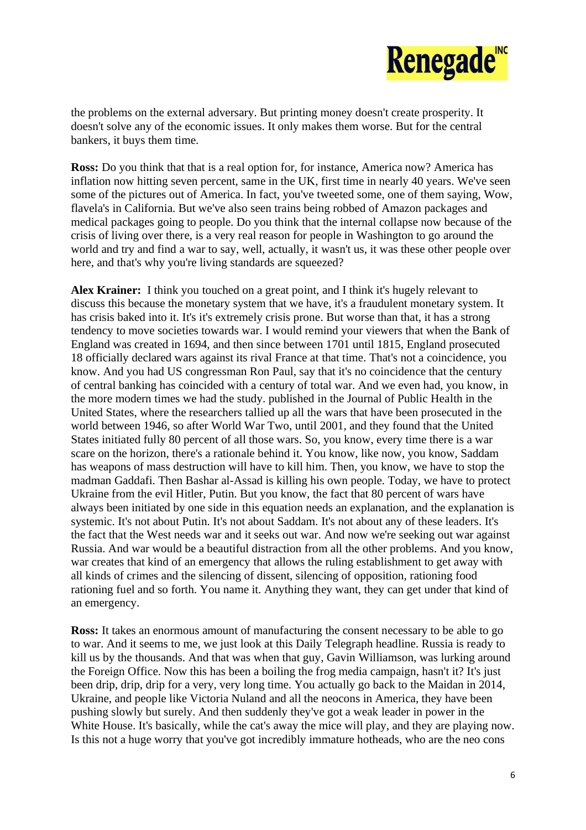

the problems on the external adversary. But printing money doesn't create prosperity. It doesn't solve any of the economic issues. It only makes them worse. But for the central bankers, it buys them time.

**Ross:** Do you think that that is a real option for, for instance, America now? America has inflation now hitting seven percent, same in the UK, first time in nearly 40 years. We've seen some of the pictures out of America. In fact, you've tweeted some, one of them saying, Wow, flavela's in California. But we've also seen trains being robbed of Amazon packages and medical packages going to people. Do you think that the internal collapse now because of the crisis of living over there, is a very real reason for people in Washington to go around the world and try and find a war to say, well, actually, it wasn't us, it was these other people over here, and that's why you're living standards are squeezed?

**Alex Krainer:** I think you touched on a great point, and I think it's hugely relevant to discuss this because the monetary system that we have, it's a fraudulent monetary system. It has crisis baked into it. It's it's extremely crisis prone. But worse than that, it has a strong tendency to move societies towards war. I would remind your viewers that when the Bank of England was created in 1694, and then since between 1701 until 1815, England prosecuted 18 officially declared wars against its rival France at that time. That's not a coincidence, you know. And you had US congressman Ron Paul, say that it's no coincidence that the century of central banking has coincided with a century of total war. And we even had, you know, in the more modern times we had the study. published in the Journal of Public Health in the United States, where the researchers tallied up all the wars that have been prosecuted in the world between 1946, so after World War Two, until 2001, and they found that the United States initiated fully 80 percent of all those wars. So, you know, every time there is a war scare on the horizon, there's a rationale behind it. You know, like now, you know, Saddam has weapons of mass destruction will have to kill him. Then, you know, we have to stop the madman Gaddafi. Then Bashar al-Assad is killing his own people. Today, we have to protect Ukraine from the evil Hitler, Putin. But you know, the fact that 80 percent of wars have always been initiated by one side in this equation needs an explanation, and the explanation is systemic. It's not about Putin. It's not about Saddam. It's not about any of these leaders. It's the fact that the West needs war and it seeks out war. And now we're seeking out war against Russia. And war would be a beautiful distraction from all the other problems. And you know, war creates that kind of an emergency that allows the ruling establishment to get away with all kinds of crimes and the silencing of dissent, silencing of opposition, rationing food rationing fuel and so forth. You name it. Anything they want, they can get under that kind of an emergency.

**Ross:** It takes an enormous amount of manufacturing the consent necessary to be able to go to war. And it seems to me, we just look at this Daily Telegraph headline. Russia is ready to kill us by the thousands. And that was when that guy, Gavin Williamson, was lurking around the Foreign Office. Now this has been a boiling the frog media campaign, hasn't it? It's just been drip, drip, drip for a very, very long time. You actually go back to the Maidan in 2014, Ukraine, and people like Victoria Nuland and all the neocons in America, they have been pushing slowly but surely. And then suddenly they've got a weak leader in power in the White House. It's basically, while the cat's away the mice will play, and they are playing now. Is this not a huge worry that you've got incredibly immature hotheads, who are the neo cons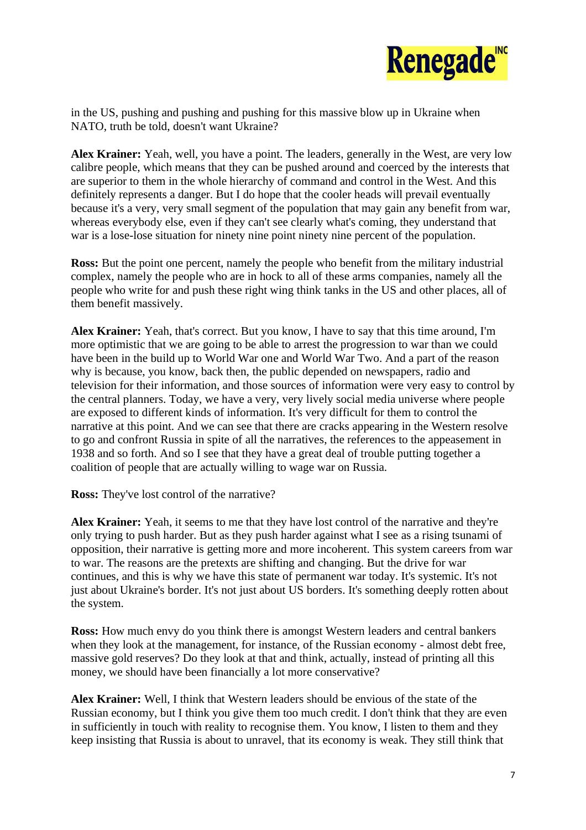

in the US, pushing and pushing and pushing for this massive blow up in Ukraine when NATO, truth be told, doesn't want Ukraine?

**Alex Krainer:** Yeah, well, you have a point. The leaders, generally in the West, are very low calibre people, which means that they can be pushed around and coerced by the interests that are superior to them in the whole hierarchy of command and control in the West. And this definitely represents a danger. But I do hope that the cooler heads will prevail eventually because it's a very, very small segment of the population that may gain any benefit from war, whereas everybody else, even if they can't see clearly what's coming, they understand that war is a lose-lose situation for ninety nine point ninety nine percent of the population.

**Ross:** But the point one percent, namely the people who benefit from the military industrial complex, namely the people who are in hock to all of these arms companies, namely all the people who write for and push these right wing think tanks in the US and other places, all of them benefit massively.

**Alex Krainer:** Yeah, that's correct. But you know, I have to say that this time around, I'm more optimistic that we are going to be able to arrest the progression to war than we could have been in the build up to World War one and World War Two. And a part of the reason why is because, you know, back then, the public depended on newspapers, radio and television for their information, and those sources of information were very easy to control by the central planners. Today, we have a very, very lively social media universe where people are exposed to different kinds of information. It's very difficult for them to control the narrative at this point. And we can see that there are cracks appearing in the Western resolve to go and confront Russia in spite of all the narratives, the references to the appeasement in 1938 and so forth. And so I see that they have a great deal of trouble putting together a coalition of people that are actually willing to wage war on Russia.

**Ross:** They've lost control of the narrative?

**Alex Krainer:** Yeah, it seems to me that they have lost control of the narrative and they're only trying to push harder. But as they push harder against what I see as a rising tsunami of opposition, their narrative is getting more and more incoherent. This system careers from war to war. The reasons are the pretexts are shifting and changing. But the drive for war continues, and this is why we have this state of permanent war today. It's systemic. It's not just about Ukraine's border. It's not just about US borders. It's something deeply rotten about the system.

**Ross:** How much envy do you think there is amongst Western leaders and central bankers when they look at the management, for instance, of the Russian economy - almost debt free, massive gold reserves? Do they look at that and think, actually, instead of printing all this money, we should have been financially a lot more conservative?

**Alex Krainer:** Well, I think that Western leaders should be envious of the state of the Russian economy, but I think you give them too much credit. I don't think that they are even in sufficiently in touch with reality to recognise them. You know, I listen to them and they keep insisting that Russia is about to unravel, that its economy is weak. They still think that